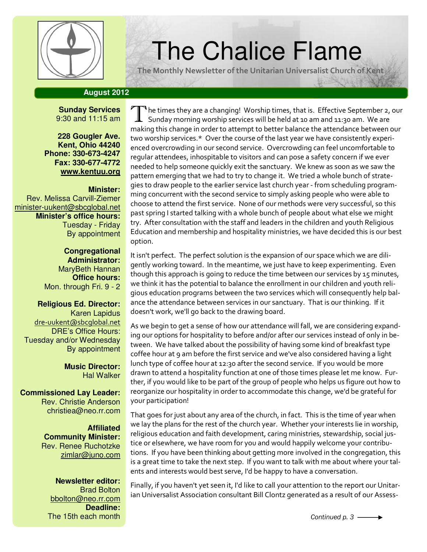

# $\left\Vert \begin{array}{cc} \Psi \end{array} \right\Vert$  The Chalice Flame

The Monthly Newsletter of the Unitarian Universalist Church of Kent

#### **August 2012**

**Sunday Services**  9:30 and 11:15 am

**228 Gougler Ave. Kent, Ohio 44240 Phone: 330-673-4247 Fax: 330-677-4772 www.kentuu.org**

#### **Minister:**

Rev. Melissa Carvill-Ziemer minister-uukent@sbcglobal.net **Minister's office hours:**  Tuesday - Friday By appointment

> **Congregational Administrator:** MaryBeth Hannan **Office hours:** Mon. through Fri. 9 - 2

**Religious Ed. Director:**  Karen Lapidus dre-uukent@sbcglobal.net DRE's Office Hours: Tuesday and/or Wednesday By appointment

> **Music Director:**  Hal Walker

**Commissioned Lay Leader:**  Rev. Christie Anderson christiea@neo.rr.com

> **Affiliated Community Minister:**  Rev. Renee Ruchotzke zimlar@juno.com

**Newsletter editor:**  Brad Bolton bbolton@neo.rr.com **Deadline:**  The 15th each month

 $\blacksquare$  he times they are a changing! Worship times, that is. Effective September 2, our  $\perp\!\!\!\!\perp$  Sunday morning worship services will be held at 10 am and 11:30 am. We are making this change in order to attempt to better balance the attendance between our two worship services.\* Over the course of the last year we have consistently experienced overcrowding in our second service. Overcrowding can feel uncomfortable to regular attendees, inhospitable to visitors and can pose a safety concern if we ever needed to help someone quickly exit the sanctuary. We knew as soon as we saw the pattern emerging that we had to try to change it. We tried a whole bunch of strategies to draw people to the earlier service last church year - from scheduling programming concurrent with the second service to simply asking people who were able to choose to attend the first service. None of our methods were very successful, so this past spring I started talking with a whole bunch of people about what else we might try. After consultation with the staff and leaders in the children and youth Religious Education and membership and hospitality ministries, we have decided this is our best option.

It isn't perfect. The perfect solution is the expansion of our space which we are diligently working toward. In the meantime, we just have to keep experimenting. Even though this approach is going to reduce the time between our services by 15 minutes, we think it has the potential to balance the enrollment in our children and youth religious education programs between the two services which will consequently help balance the attendance between services in our sanctuary. That is our thinking. If it doesn't work, we'll go back to the drawing board.

As we begin to get a sense of how our attendance will fall, we are considering expanding our options for hospitality to before and/or after our services instead of only in between. We have talked about the possibility of having some kind of breakfast type coffee hour at 9 am before the first service and we've also considered having a light lunch type of coffee hour at 12:30 after the second service. If you would be more drawn to attend a hospitality function at one of those times please let me know. Further, if you would like to be part of the group of people who helps us figure out how to reorganize our hospitality in order to accommodate this change, we'd be grateful for your participation!

That goes for just about any area of the church, in fact. This is the time of year when we lay the plans for the rest of the church year. Whether your interests lie in worship, religious education and faith development, caring ministries, stewardship, social justice or elsewhere, we have room for you and would happily welcome your contributions. If you have been thinking about getting more involved in the congregation, this is a great time to take the next step. If you want to talk with me about where your talents and interests would best serve, I'd be happy to have a conversation.

Finally, if you haven't yet seen it, I'd like to call your attention to the report our Unitarian Universalist Association consultant Bill Clontz generated as a result of our Assess-

Continued p.  $3 \longrightarrow$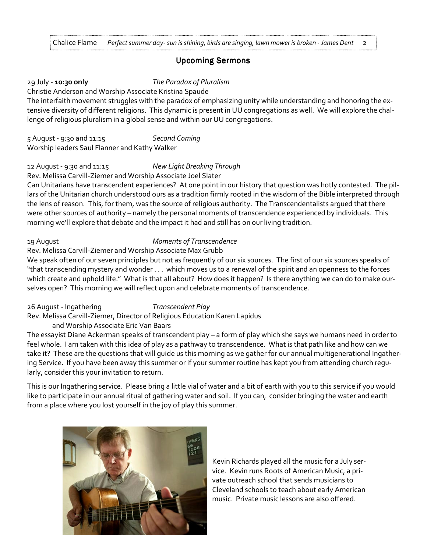#### **Upcoming Sermons**

#### 29 July - 10:30 only The Paradox of Pluralism

#### Christie Anderson and Worship Associate Kristina Spaude

The interfaith movement struggles with the paradox of emphasizing unity while understanding and honoring the extensive diversity of different religions. This dynamic is present in UU congregations as well. We will explore the challenge of religious pluralism in a global sense and within our UU congregations.

5 August - 9:30 and 11:15 Second Coming Worship leaders Saul Flanner and Kathy Walker

#### 12 August - 9:30 and 11:15 New Light Breaking Through

#### Rev. Melissa Carvill-Ziemer and Worship Associate Joel Slater

Can Unitarians have transcendent experiences? At one point in our history that question was hotly contested. The pillars of the Unitarian church understood ours as a tradition firmly rooted in the wisdom of the Bible interpreted through the lens of reason. This, for them, was the source of religious authority. The Transcendentalists argued that there were other sources of authority – namely the personal moments of transcendence experienced by individuals. This morning we'll explore that debate and the impact it had and still has on our living tradition.

#### 19 August **Moments of Transcendence**

#### Rev. Melissa Carvill-Ziemer and Worship Associate Max Grubb

We speak often of our seven principles but not as frequently of our six sources. The first of our six sources speaks of "that transcending mystery and wonder . . . which moves us to a renewal of the spirit and an openness to the forces which create and uphold life." What is that all about? How does it happen? Is there anything we can do to make ourselves open? This morning we will reflect upon and celebrate moments of transcendence.

26 August - Ingathering Transcendent Play Rev. Melissa Carvill-Ziemer, Director of Religious Education Karen Lapidus and Worship Associate Eric Van Baars

The essayist Diane Ackerman speaks of transcendent play – a form of play which she says we humans need in order to feel whole. I am taken with this idea of play as a pathway to transcendence. What is that path like and how can we take it? These are the questions that will guide us this morning as we gather for our annual multigenerational Ingathering Service. If you have been away this summer or if your summer routine has kept you from attending church regularly, consider this your invitation to return.

This is our Ingathering service. Please bring a little vial of water and a bit of earth with you to this service if you would like to participate in our annual ritual of gathering water and soil. If you can, consider bringing the water and earth from a place where you lost yourself in the joy of play this summer.



Kevin Richards played all the music for a July service. Kevin runs Roots of American Music, a private outreach school that sends musicians to Cleveland schools to teach about early American music. Private music lessons are also offered.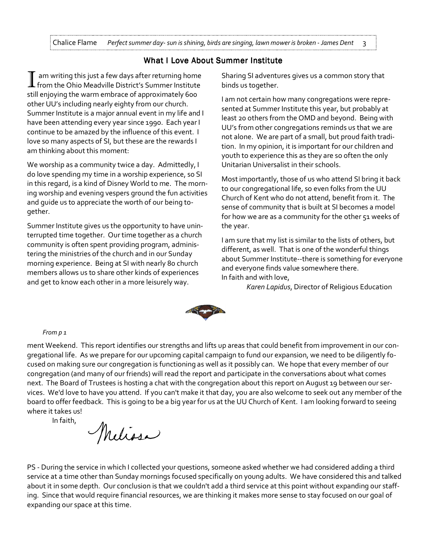Chalice Flame Perfect summer day- sun is shining, birds are singing, lawn mower is broken - James Dent 3

### What I Love About Summer Institute

am writing this just a few days after returning home from the Ohio Meadville District's Summer Institute still enjoying the warm embrace of approximately 600 other UU's including nearly eighty from our church. Summer Institute is a major annual event in my life and I have been attending every year since 1990. Each year I continue to be amazed by the influence of this event. I love so many aspects of SI, but these are the rewards I am thinking about this moment:

We worship as a community twice a day. Admittedly, I do love spending my time in a worship experience, so SI in this regard, is a kind of Disney World to me. The morning worship and evening vespers ground the fun activities and guide us to appreciate the worth of our being together.

Summer Institute gives us the opportunity to have uninterrupted time together. Our time together as a church community is often spent providing program, administering the ministries of the church and in our Sunday morning experience. Being at SI with nearly 80 church members allows us to share other kinds of experiences and get to know each other in a more leisurely way.

Sharing SI adventures gives us a common story that binds us together.

I am not certain how many congregations were represented at Summer Institute this year, but probably at least 20 others from the OMD and beyond. Being with UU's from other congregations reminds us that we are not alone. We are part of a small, but proud faith tradition. In my opinion, it is important for our children and youth to experience this as they are so often the only Unitarian Universalist in their schools.

Most importantly, those of us who attend SI bring it back to our congregational life, so even folks from the UU Church of Kent who do not attend, benefit from it. The sense of community that is built at SI becomes a model for how we are as a community for the other 51 weeks of the year.

I am sure that my list is similar to the lists of others, but different, as well. That is one of the wonderful things about Summer Institute--there is something for everyone and everyone finds value somewhere there. In faith and with love,

Karen Lapidus, Director of Religious Education



#### From p 1

ment Weekend. This report identifies our strengths and lifts up areas that could benefit from improvement in our congregational life. As we prepare for our upcoming capital campaign to fund our expansion, we need to be diligently focused on making sure our congregation is functioning as well as it possibly can. We hope that every member of our congregation (and many of our friends) will read the report and participate in the conversations about what comes next. The Board of Trustees is hosting a chat with the congregation about this report on August 19 between our services. We'd love to have you attend. If you can't make it that day, you are also welcome to seek out any member of the board to offer feedback. This is going to be a big year for us at the UU Church of Kent. I am looking forward to seeing where it takes us!

In faith,

Meliosa

PS - During the service in which I collected your questions, someone asked whether we had considered adding a third service at a time other than Sunday mornings focused specifically on young adults. We have considered this and talked about it in some depth. Our conclusion is that we couldn't add a third service at this point without expanding our staffing. Since that would require financial resources, we are thinking it makes more sense to stay focused on our goal of expanding our space at this time.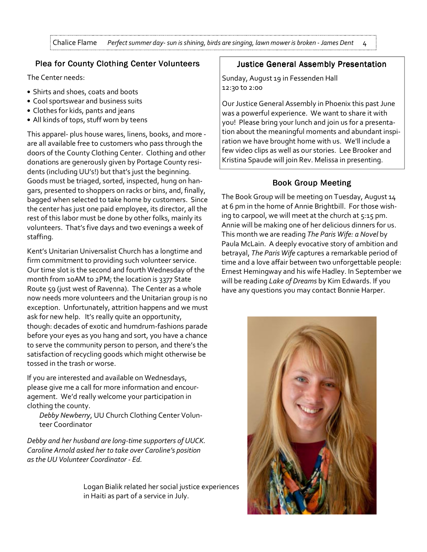Chalice Flame Perfect summer day- sun is shining, birds are singing, lawn mower is broken - James Dent 4

# Plea for County Clothing Center Volunteers

The Center needs:

- Shirts and shoes, coats and boots
- Cool sportswear and business suits
- Clothes for kids, pants and jeans
- All kinds of tops, stuff worn by teens

This apparel- plus house wares, linens, books, and more are all available free to customers who pass through the doors of the County Clothing Center. Clothing and other donations are generously given by Portage County residents (including UU's!) but that's just the beginning. Goods must be triaged, sorted, inspected, hung on hangars, presented to shoppers on racks or bins, and, finally, bagged when selected to take home by customers. Since the center has just one paid employee, its director, all the rest of this labor must be done by other folks, mainly its volunteers. That's five days and two evenings a week of staffing.

Kent's Unitarian Universalist Church has a longtime and firm commitment to providing such volunteer service. Our time slot is the second and fourth Wednesday of the month from 10AM to 2PM; the location is 3377 State Route 59 (just west of Ravenna). The Center as a whole now needs more volunteers and the Unitarian group is no exception. Unfortunately, attrition happens and we must ask for new help. It's really quite an opportunity, though: decades of exotic and humdrum-fashions parade before your eyes as you hang and sort, you have a chance to serve the community person to person, and there's the satisfaction of recycling goods which might otherwise be tossed in the trash or worse.

If you are interested and available on Wednesdays, please give me a call for more information and encouragement. We'd really welcome your participation in clothing the county.

 Debby Newberry, UU Church Clothing Center Volunteer Coordinator

Debby and her husband are long-time supporters of UUCK. Caroline Arnold asked her to take over Caroline's position as the UU Volunteer Coordinator - Ed.

> Logan Bialik related her social justice experiences in Haiti as part of a service in July.

## **Justice General Assembly Presentation**

Sunday, August 19 in Fessenden Hall 12:30 to 2:00

Our Justice General Assembly in Phoenix this past June was a powerful experience. We want to share it with you! Please bring your lunch and join us for a presentation about the meaningful moments and abundant inspiration we have brought home with us. We'll include a few video clips as well as our stories. Lee Brooker and Kristina Spaude will join Rev. Melissa in presenting.

# **Book Group Meeting**

The Book Group will be meeting on Tuesday, August 14 at 6 pm in the home of Annie Brightbill. For those wishing to carpool, we will meet at the church at 5:15 pm. Annie will be making one of her delicious dinners for us. This month we are reading The Paris Wife: a Novel by Paula McLain. A deeply evocative story of ambition and betrayal, The Paris Wife captures a remarkable period of time and a love affair between two unforgettable people: Ernest Hemingway and his wife Hadley. In September we will be reading Lake of Dreams by Kim Edwards. If you have any questions you may contact Bonnie Harper.

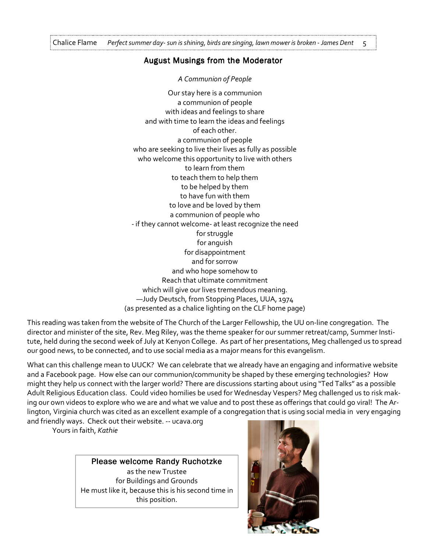#### August Musings from the Moderator

A Communion of People

Our stay here is a communion a communion of people with ideas and feelings to share and with time to learn the ideas and feelings of each other. a communion of people who are seeking to live their lives as fully as possible who welcome this opportunity to live with others to learn from them to teach them to help them to be helped by them to have fun with them to love and be loved by them a communion of people who - if they cannot welcome- at least recognize the need for struggle for anguish for disappointment and for sorrow and who hope somehow to Reach that ultimate commitment which will give our lives tremendous meaning. —Judy Deutsch, from Stopping Places, UUA, 1974 (as presented as a chalice lighting on the CLF home page)

This reading was taken from the website of The Church of the Larger Fellowship, the UU on-line congregation. The director and minister of the site, Rev. Meg Riley, was the theme speaker for our summer retreat/camp, Summer Institute, held during the second week of July at Kenyon College. As part of her presentations, Meg challenged us to spread our good news, to be connected, and to use social media as a major means for this evangelism.

What can this challenge mean to UUCK? We can celebrate that we already have an engaging and informative website and a Facebook page. How else can our communion/community be shaped by these emerging technologies? How might they help us connect with the larger world? There are discussions starting about using "Ted Talks" as a possible Adult Religious Education class. Could video homilies be used for Wednesday Vespers? Meg challenged us to risk making our own videos to explore who we are and what we value and to post these as offerings that could go viral! The Arlington, Virginia church was cited as an excellent example of a congregation that is using social media in very engaging and friendly ways. Check out their website. -- ucava.org

Yours in faith, Kathie

Please welcome Randy Ruchotzke as the new Trustee for Buildings and Grounds He must like it, because this is his second time in this position.

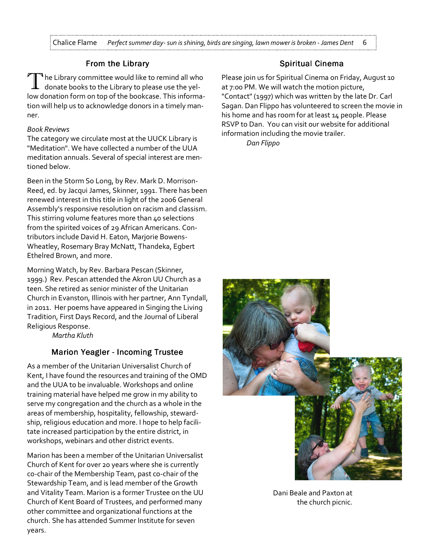# From the Library

 $\mathbf{F}$ he Library committee would like to remind all who donate books to the Library to please use the yellow donation form on top of the bookcase. This information will help us to acknowledge donors in a timely manner.

#### Book Reviews

The category we circulate most at the UUCK Library is "Meditation". We have collected a number of the UUA meditation annuals. Several of special interest are mentioned below.

Been in the Storm So Long, by Rev. Mark D. Morrison-Reed, ed. by Jacqui James, Skinner, 1991. There has been renewed interest in this title in light of the 2006 General Assembly's responsive resolution on racism and classism. This stirring volume features more than 40 selections from the spirited voices of 29 African Americans. Contributors include David H. Eaton, Marjorie Bowens-Wheatley, Rosemary Bray McNatt, Thandeka, Egbert Ethelred Brown, and more.

Morning Watch, by Rev. Barbara Pescan (Skinner, 1999.) Rev. Pescan attended the Akron UU Church as a teen. She retired as senior minister of the Unitarian Church in Evanston, Illinois with her partner, Ann Tyndall, in 2011. Her poems have appeared in Singing the Living Tradition, First Days Record, and the Journal of Liberal Religious Response.

Martha Kluth

## Marion Yeagler - Incoming Trustee

As a member of the Unitarian Universalist Church of Kent, I have found the resources and training of the OMD and the UUA to be invaluable. Workshops and online training material have helped me grow in my ability to serve my congregation and the church as a whole in the areas of membership, hospitality, fellowship, stewardship, religious education and more. I hope to help facilitate increased participation by the entire district, in workshops, webinars and other district events.

Marion has been a member of the Unitarian Universalist Church of Kent for over 20 years where she is currently co-chair of the Membership Team, past co-chair of the Stewardship Team, and is lead member of the Growth and Vitality Team. Marion is a former Trustee on the UU Church of Kent Board of Trustees, and performed many other committee and organizational functions at the church. She has attended Summer Institute for seven years.

# **Spiritual Cinema**

Please join us for Spiritual Cinema on Friday, August 10 at 7:00 PM. We will watch the motion picture, "Contact" (1997) which was written by the late Dr. Carl Sagan. Dan Flippo has volunteered to screen the movie in his home and has room for at least 14 people. Please RSVP to Dan. You can visit our website for additional information including the movie trailer.

Dan Flippo



Dani Beale and Paxton at the church picnic.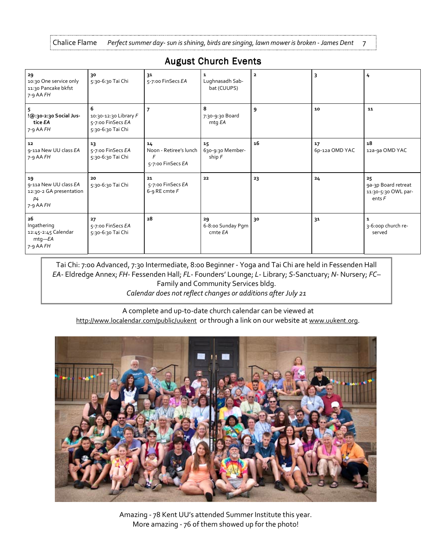Chalice Flame Perfect summer day- sun is shining, birds are singing, lawn mower is broken - James Dent 7

| 29<br>10:30 One service only<br>11:30 Pancake bkfst<br>$7-9$ AA FH                  | 30<br>5:30-6:30 Tai Chi                                              | 31<br>5-7:00 FinSecs EA                           | $\mathbf{1}$<br>Lughnasadh Sab-<br>bat (CUUPS) | $\overline{2}$ | $\overline{\mathbf{3}}$ | 4                                                            |
|-------------------------------------------------------------------------------------|----------------------------------------------------------------------|---------------------------------------------------|------------------------------------------------|----------------|-------------------------|--------------------------------------------------------------|
| !@:30-2:30 Social Jus-<br>tice EA<br>$7-9$ AA FH                                    | 6<br>10:30-12:30 Library F<br>5-7:00 FinSecs EA<br>5:30-6:30 Tai Chi | 7                                                 | 8<br>7:30-9:30 Board<br>mtg EA                 | 9              | 10                      | 11                                                           |
| 12<br>9-11a New UU class EA<br>$7-9$ AA FH                                          | 13<br>5-7:00 FinSecs EA<br>5:30-6:30 Tai Chi                         | 14<br>Noon - Retiree's lunch<br>5-7:00 FinSecs EA | 15<br>630-9:30 Member-<br>ship $F$             | 16             | 17<br>6p-12a OMD YAC    | 18<br>12a-9a OMD YAC                                         |
| 19<br>9-11a New UU class EA<br>12:30-2 GA presentation<br><i>p</i> 4<br>$7-9$ AA FH | 20<br>5:30-6:30 Tai Chi                                              | 21<br>5-7:00 FinSecs EA<br>6-9 RE cmte $F$        | 22                                             | 23             | 24                      | 25<br>9a-3p Board retreat<br>11:30-5:30 OWL par-<br>ents $F$ |
| 26<br>Ingathering<br>12:45-2:45 Calendar<br>$m$ tq $-EA$<br>7-9 AA FH               | 27<br>5-7:00 FinSecs EA<br>5:30-6:30 Tai Chi                         | 28                                                | 29<br>6-8:00 Sunday Pqm<br>cmte EA             | 30             | 31                      | $\mathbf{1}$<br>3-6:00p church re-<br>served                 |

# **August Church Events**

Tai Chi: 7:00 Advanced, 7:30 Intermediate, 8:00 Beginner - Yoga and Tai Chi are held in Fessenden Hall EA- Eldredge Annex; FH- Fessenden Hall; FL- Founders' Lounge; L- Library; S-Sanctuary; N- Nursery; FC– Family and Community Services bldg. Calendar does not reflect changes or additions after July 21

A complete and up-to-date church calendar can be viewed at http://www.localendar.com/public/uukent or through a link on our website at www.uukent.org.



Amazing - 78 Kent UU's attended Summer Institute this year. More amazing - 76 of them showed up for the photo!